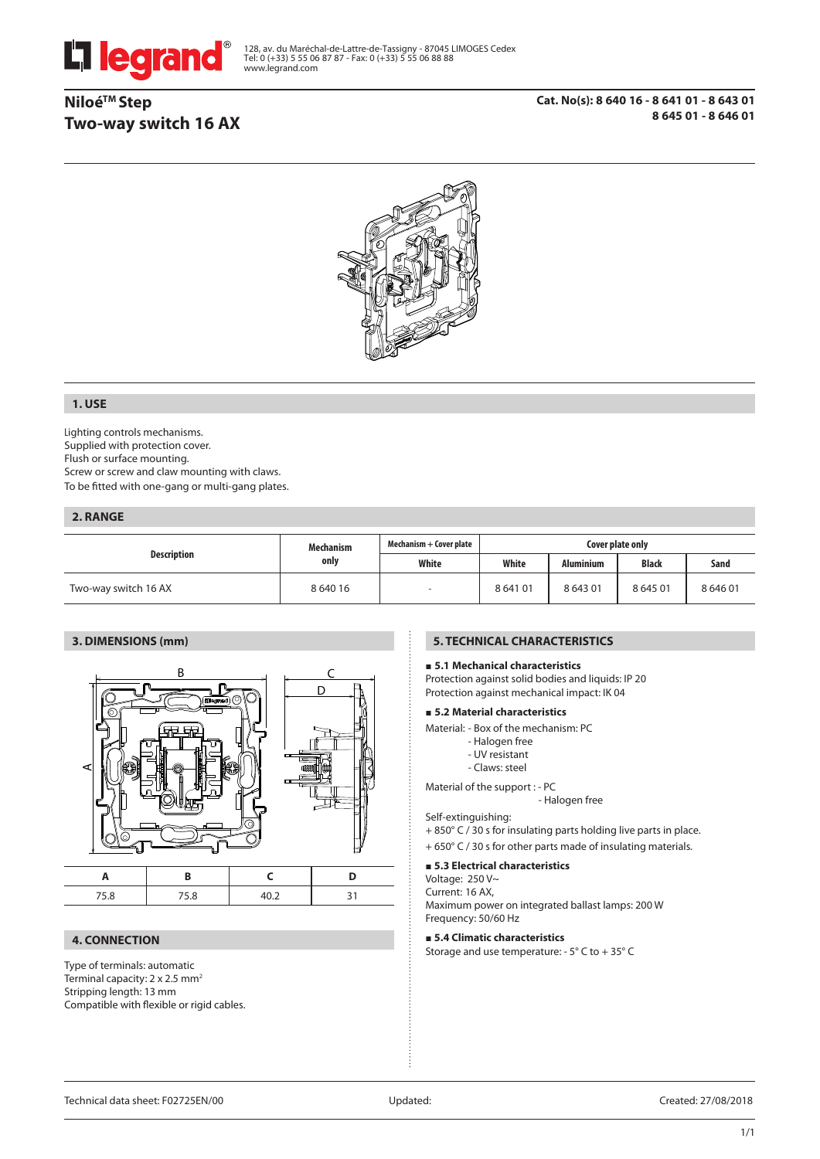

128, av. du Maréchal-de-Lattre-de-Tassigny - 87045 LIMOGES Cedex Tel: 0 (+33) 5 55 06 87 87 - Fax: 0 (+33) 5 55 06 88 88 www.legrand.com

# **NiloéTM Step Two-way switch 16 AX**



## **1. USE**

Lighting controls mechanisms. Supplied with protection cover. Flush or surface mounting. Screw or screw and claw mounting with claws. To be fitted with one-gang or multi-gang plates.

### **2. RANGE**

| <b>Description</b>   | <b>Mechanism</b><br>only | Mechanism + Cover plate | Cover plate only |                  |              |        |
|----------------------|--------------------------|-------------------------|------------------|------------------|--------------|--------|
|                      |                          | White                   | White            | <b>Aluminium</b> | <b>Black</b> | Sand   |
| Two-way switch 16 AX | 8 640 16                 |                         | 864101           | 864301           | 864501       | 864601 |

## **3. DIMENSIONS (mm)**



### **4. CONNECTION**

Type of terminals: automatic Terminal capacity:  $2 \times 2.5$  mm<sup>2</sup> Stripping length: 13 mm Compatible with flexible or rigid cables.

## **5. TECHNICAL CHARACTERISTICS**

## **5.1 Mechanical characteristics**

Protection against solid bodies and liquids: IP 20 Protection against mechanical impact: IK 04

#### **5.2 Material characteristics**

Material: - Box of the mechanism: PC

- Halogen free
	- UV resistant
	- Claws: steel

Material of the support : - PC

- Halogen free

## Self-extinguishing:

+ 850° C / 30 s for insulating parts holding live parts in place.

+ 650° C / 30 s for other parts made of insulating materials.

#### **5.3 Electrical characteristics**

Voltage: 250 V~

Current: 16 AX,

Maximum power on integrated ballast lamps: 200 W Frequency: 50/60 Hz

#### **5.4 Climatic characteristics**

Storage and use temperature: - 5° C to + 35° C